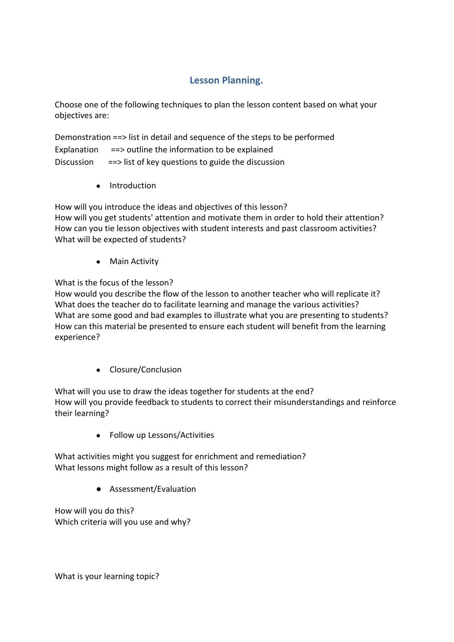## **Lesson Planning.**

Choose one of the following techniques to plan the lesson content based on what your objectives are:

Demonstration ==> list in detail and sequence of the steps to be performed Explanation  $=$  => outline the information to be explained Discussion ==> list of key questions to guide the discussion

● Introduction

How will you introduce the ideas and objectives of this lesson? How will you get students' attention and motivate them in order to hold their attention? How can you tie lesson objectives with student interests and past classroom activities? What will be expected of students?

● Main Activity

What is the focus of the lesson?

How would you describe the flow of the lesson to another teacher who will replicate it? What does the teacher do to facilitate learning and manage the various activities? What are some good and bad examples to illustrate what you are presenting to students? How can this material be presented to ensure each student will benefit from the learning experience?

● Closure/Conclusion

What will you use to draw the ideas together for students at the end? How will you provide feedback to students to correct their misunderstandings and reinforce their learning?

● Follow up Lessons/Activities

What activities might you suggest for enrichment and remediation? What lessons might follow as a result of this lesson?

● Assessment/Evaluation

How will you do this? Which criteria will you use and why?

What is your learning topic?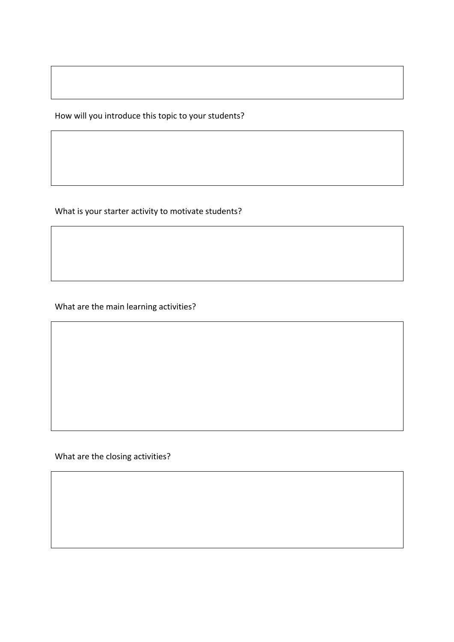How will you introduce this topic to your students?

What is your starter activity to motivate students?

What are the main learning activities?

What are the closing activities?